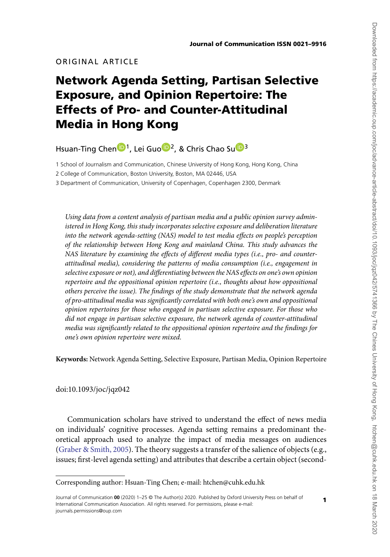## ORIGINAL ARTICLE

# **Network Agenda Setting, Partisan Selective Exposure, and Opinion Repertoire: The Effects of Pro- and Counter-Attitudinal Media in Hong Kong**

Hsua[n](https://orcid.org/0000-0003-3140-5169)-Ting Chen <sup>1</sup>, Lei Gu[o](https://orcid.org/0000-0001-9971-8634)<sup>D2</sup>, & Chris Chao Su<sup>D[3](http://orcid.org/0000-0003-4591-1062)</sup>

1 School of Journalism and Communication, Chinese University of Hong Kong, Hong Kong, China

- 2 College of Communication, Boston University, Boston, MA 02446, USA
- 3 Department of Communication, University of Copenhagen, Copenhagen 2300, Denmark

*Using data from a content analysis of partisan media and a public opinion survey administered in Hong Kong, this study incorporates selective exposure and deliberation literature into the network agenda-setting (NAS) model to test media effects on people's perception of the relationship between Hong Kong and mainland China. This study advances the NAS literature by examining the effects of different media types (i.e., pro- and counterattitudinal media), considering the patterns of media consumption (i.e., engagement in selective exposure or not), and differentiating between the NAS effects on one's own opinion repertoire and the oppositional opinion repertoire (i.e., thoughts about how oppositional others perceive the issue). The findings of the study demonstrate that the network agenda of pro-attitudinal media was significantly correlated with both one's own and oppositional opinion repertoires for those who engaged in partisan selective exposure. For those who did not engage in partisan selective exposure, the network agenda of counter-attitudinal media was significantly related to the oppositional opinion repertoire and the findings for one's own opinion repertoire were mixed.*

**Keywords:** Network Agenda Setting, Selective Exposure, Partisan Media, Opinion Repertoire

doi:10.1093/joc/jqz042

Communication scholars have strived to understand the effect of news media on individuals' cognitive processes. Agenda setting remains a predominant theoretical approach used to analyze the impact of media messages on audiences [\(Graber & Smith, 2005\)](#page-22-0). The theory suggests a transfer of the salience of objects (e.g., issues; first-level agenda setting) and attributes that describe a certain object (second-

Corresponding author: Hsuan-Ting Chen; e-mail: htchen@cuhk.edu.hk

Journal of Communication **00** (2020) 1–25 © The Author(s) 2020. Published by Oxford University Press on behalf of International Communication Association. All rights reserved. For permissions, please e-mail: journals.permissions@oup.com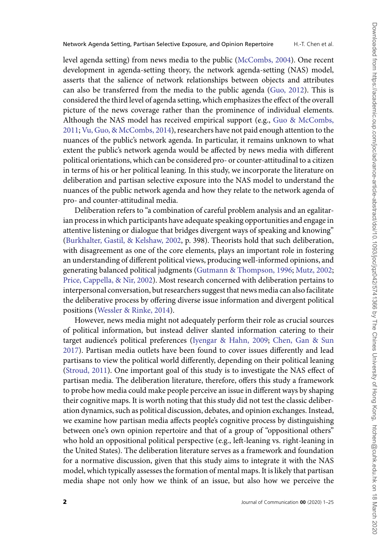level agenda setting) from news media to the public [\(McCombs, 2004\)](#page-23-0). One recent development in agenda-setting theory, the network agenda-setting (NAS) model, asserts that the salience of network relationships between objects and attributes can also be transferred from the media to the public agenda [\(Guo, 2012\)](#page-22-1). This is considered the third level of agenda setting, which emphasizes the effect of the overall picture of the news coverage rather than the prominence of individual elements. Although the NAS model has received empirical support (e.g., Guo & McCombs, 2011; [Vu, Guo, & McCombs, 2014\), researchers have not paid enough attention to the](#page-22-2) nuances of the public's network agenda. In particular, it remains unknown to what extent the public's network agenda would be affected by news media with different political orientations, which can be considered pro- or counter-attitudinal to a citizen in terms of his or her political leaning. In this study, we incorporate the literature on deliberation and partisan selective exposure into the NAS model to understand the nuances of the public network agenda and how they relate to the network agenda of pro- and counter-attitudinal media.

Deliberation refers to "a combination of careful problem analysis and an egalitarian process in which participants have adequate speaking opportunities and engage in attentive listening or dialogue that bridges divergent ways of speaking and knowing" [\(Burkhalter, Gastil, & Kelshaw, 2002,](#page-21-0) p. 398). Theorists hold that such deliberation, with disagreement as one of the core elements, plays an important role in fostering an understanding of different political views, producing well-informed opinions, and generating balanced political judgments [\(Gutmann & Thompson, 1996;](#page-22-3) [Mutz, 2002;](#page-23-2) [Price, Cappella, & Nir, 2002\)](#page-23-3). Most research concerned with deliberation pertains to interpersonal conversation, but researchers suggest that news media can also facilitate the deliberative process by offering diverse issue information and divergent political positions [\(Wessler & Rinke, 2014\)](#page-23-4).

However, news media might not adequately perform their role as crucial sources of political information, but instead deliver slanted information catering to their target audience's political preferences [\(Iyengar & Hahn, 2009;](#page-22-4) Chen, Gan & Sun [2017\). Partisan media outlets have been found to cover issues differently and lead](#page-21-1) partisans to view the political world differently, depending on their political leaning [\(Stroud, 2011\)](#page-23-5). One important goal of this study is to investigate the NAS effect of partisan media. The deliberation literature, therefore, offers this study a framework to probe how media could make people perceive an issue in different ways by shaping their cognitive maps. It is worth noting that this study did not test the classic deliberation dynamics, such as political discussion, debates, and opinion exchanges. Instead, we examine how partisan media affects people's cognitive process by distinguishing between one's own opinion repertoire and that of a group of "oppositional others" who hold an oppositional political perspective (e.g., left-leaning vs. right-leaning in the United States). The deliberation literature serves as a framework and foundation for a normative discussion, given that this study aims to integrate it with the NAS model, which typically assesses the formation of mental maps. It is likely that partisan media shape not only how we think of an issue, but also how we perceive the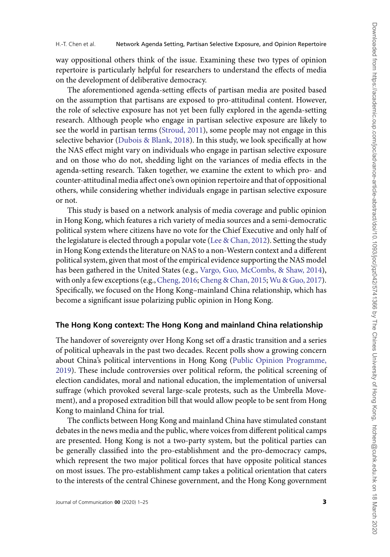Downloaded from https://academic.oup.com/joo/advance-article-abstract/doi/10.1093/joc/jqz042/5741366 by The Chines University of Hong Kong , htchen@cuhk.edu.hk on 18 March 2020 Downloaded from https://academic.oup.com/joc/advance-article-abstract/doi/10.1093/joc/jqz042/5741366 by The Chines University of Hong Kong, htchen@cuhk.edu.hk on 18 March 2020

way oppositional others think of the issue. Examining these two types of opinion repertoire is particularly helpful for researchers to understand the effects of media on the development of deliberative democracy.

The aforementioned agenda-setting effects of partisan media are posited based on the assumption that partisans are exposed to pro-attitudinal content. However, the role of selective exposure has not yet been fully explored in the agenda-setting research. Although people who engage in partisan selective exposure are likely to see the world in partisan terms [\(Stroud, 2011\)](#page-23-5), some people may not engage in this selective behavior [\(Dubois & Blank, 2018\)](#page-22-5). In this study, we look specifically at how the NAS effect might vary on individuals who engage in partisan selective exposure and on those who do not, shedding light on the variances of media effects in the agenda-setting research. Taken together, we examine the extent to which pro- and counter-attitudinal media affect one's own opinion repertoire and that of oppositional others, while considering whether individuals engage in partisan selective exposure or not.

This study is based on a network analysis of media coverage and public opinion in Hong Kong, which features a rich variety of media sources and a semi-democratic political system where citizens have no vote for the Chief Executive and only half of the legislature is elected through a popular vote [\(Lee & Chan, 2012\)](#page-23-6). Setting the study in Hong Kong extends the literature on NAS to a non-Western context and a different political system, given that most of the empirical evidence supporting the NAS model has been gathered in the United States (e.g., [Vargo, Guo, McCombs, & Shaw, 2014\)](#page-23-7), with only a few exceptions (e.g., [Cheng, 2016;](#page-21-2) [Cheng & Chan, 2015;](#page-21-3) [Wu & Guo, 2017\)](#page-24-0). Specifically, we focused on the Hong Kong–mainland China relationship, which has become a significant issue polarizing public opinion in Hong Kong.

## **The Hong Kong context: The Hong Kong and mainland China relationship**

The handover of sovereignty over Hong Kong set off a drastic transition and a series of political upheavals in the past two decades. Recent polls show a growing concern [about China's political interventions in Hong Kong \(Public Opinion Programme,](#page-23-8) 2019). These include controversies over political reform, the political screening of election candidates, moral and national education, the implementation of universal suffrage (which provoked several large-scale protests, such as the Umbrella Movement), and a proposed extradition bill that would allow people to be sent from Hong Kong to mainland China for trial.

The conflicts between Hong Kong and mainland China have stimulated constant debates in the news media and the public, where voices from different political camps are presented. Hong Kong is not a two-party system, but the political parties can be generally classified into the pro-establishment and the pro-democracy camps, which represent the two major political forces that have opposite political stances on most issues. The pro-establishment camp takes a political orientation that caters to the interests of the central Chinese government, and the Hong Kong government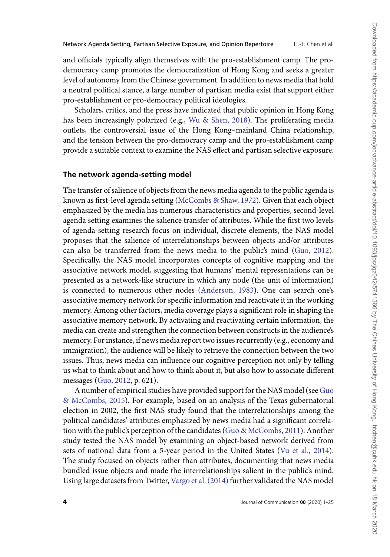and officials typically align themselves with the pro-establishment camp. The prodemocracy camp promotes the democratization of Hong Kong and seeks a greater level of autonomy from the Chinese government. In addition to news media that hold a neutral political stance, a large number of partisan media exist that support either pro-establishment or pro-democracy political ideologies.

Scholars, critics, and the press have indicated that public opinion in Hong Kong has been increasingly polarized (e.g., [Wu & Shen, 2018\)](#page-24-1). The proliferating media outlets, the controversial issue of the Hong Kong–mainland China relationship, and the tension between the pro-democracy camp and the pro-establishment camp provide a suitable context to examine the NAS effect and partisan selective exposure.

## **The network agenda-setting model**

The transfer of salience of objects from the news media agenda to the public agenda is known as first-level agenda setting [\(McCombs & Shaw, 1972\)](#page-23-9). Given that each object emphasized by the media has numerous characteristics and properties, second-level agenda setting examines the salience transfer of attributes. While the first two levels of agenda-setting research focus on individual, discrete elements, the NAS model proposes that the salience of interrelationships between objects and/or attributes can also be transferred from the news media to the public's mind [\(Guo, 2012\)](#page-22-1). Specifically, the NAS model incorporates concepts of cognitive mapping and the associative network model, suggesting that humans' mental representations can be presented as a network-like structure in which any node (the unit of information) is connected to numerous other nodes [\(Anderson, 1983\)](#page-21-4). One can search one's associative memory network for specific information and reactivate it in the working memory. Among other factors, media coverage plays a significant role in shaping the associative memory network. By activating and reactivating certain information, the media can create and strengthen the connection between constructs in the audience's memory. For instance, if news media report two issues recurrently (e.g., economy and immigration), the audience will be likely to retrieve the connection between the two issues. Thus, news media can influence our cognitive perception not only by telling us what to think about and how to think about it, but also how to associate different messages [\(Guo, 2012,](#page-22-1) p. 621).

A number of empirical studies have provided support for the NAS model (see Guo [& McCombs, 2015\). For example, based on an analysis of the Texas gubernatorial](#page-22-6) election in 2002, the first NAS study found that the interrelationships among the political candidates' attributes emphasized by news media had a significant correlation with the public's perception of the candidates [\(Guo & McCombs, 2011\)](#page-22-2). Another study tested the NAS model by examining an object-based network derived from sets of national data from a 5-year period in the United States [\(Vu et al., 2014\)](#page-23-1). The study focused on objects rather than attributes, documenting that news media bundled issue objects and made the interrelationships salient in the public's mind. Using large datasets from Twitter, [Vargo et al. \(2014\)](#page-23-7) further validated the NAS model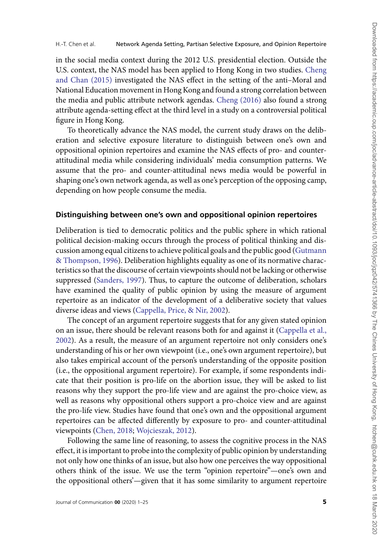in the social media context during the 2012 U.S. presidential election. Outside the [U.S. context, the NAS model has been applied to Hong Kong in two studies.](#page-21-3) Cheng and Chan (2015) investigated the NAS effect in the setting of the anti–Moral and National Education movement in Hong Kong and found a strong correlation between the media and public attribute network agendas. [Cheng \(2016\)](#page-21-2) also found a strong attribute agenda-setting effect at the third level in a study on a controversial political figure in Hong Kong.

To theoretically advance the NAS model, the current study draws on the deliberation and selective exposure literature to distinguish between one's own and oppositional opinion repertoires and examine the NAS effects of pro- and counterattitudinal media while considering individuals' media consumption patterns. We assume that the pro- and counter-attitudinal news media would be powerful in shaping one's own network agenda, as well as one's perception of the opposing camp, depending on how people consume the media.

## **Distinguishing between one's own and oppositional opinion repertoires**

Deliberation is tied to democratic politics and the public sphere in which rational political decision-making occurs through the process of political thinking and dis[cussion among equal citizens to achieve political goals and the public good \(Gutmann](#page-22-3) & Thompson, 1996). Deliberation highlights equality as one of its normative characteristics so that the discourse of certain viewpoints should not be lacking or otherwise suppressed [\(Sanders, 1997\)](#page-23-10). Thus, to capture the outcome of deliberation, scholars have examined the quality of public opinion by using the measure of argument repertoire as an indicator of the development of a deliberative society that values diverse ideas and views [\(Cappella, Price, & Nir, 2002\)](#page-21-5).

The concept of an argument repertoire suggests that for any given stated opinion [on an issue, there should be relevant reasons both for and against it \(Cappella et al.,](#page-21-5) 2002). As a result, the measure of an argument repertoire not only considers one's understanding of his or her own viewpoint (i.e., one's own argument repertoire), but also takes empirical account of the person's understanding of the opposite position (i.e., the oppositional argument repertoire). For example, if some respondents indicate that their position is pro-life on the abortion issue, they will be asked to list reasons why they support the pro-life view and are against the pro-choice view, as well as reasons why oppositional others support a pro-choice view and are against the pro-life view. Studies have found that one's own and the oppositional argument repertoires can be affected differently by exposure to pro- and counter-attitudinal viewpoints [\(Chen, 2018;](#page-21-6) [Wojcieszak, 2012\)](#page-24-2).

Following the same line of reasoning, to assess the cognitive process in the NAS effect, it is important to probe into the complexity of public opinion by understanding not only how one thinks of an issue, but also how one perceives the way oppositional others think of the issue. We use the term "opinion repertoire"—one's own and the oppositional others'—given that it has some similarity to argument repertoire Downloaded from https://academic.oup.com/joo/advance-article-abstract/doi/10.1093/joc/jqz042/5741366 by The Chines University of Hong Kong , htchen@cuhk.edu.hk on 18 March 2020 Downloaded from https://academic.oup.com/joc/advance-article-abstract/doi/10.1093/joc/jqz042/5741366 by The Chines University of Hong Kong, htchen@cuhk.edu.hk on 18 March 2020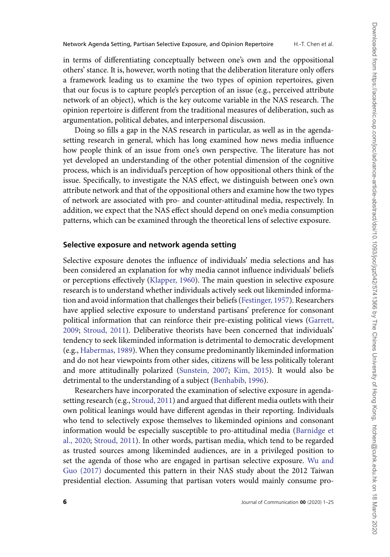in terms of differentiating conceptually between one's own and the oppositional others' stance. It is, however, worth noting that the deliberation literature only offers a framework leading us to examine the two types of opinion repertoires, given that our focus is to capture people's perception of an issue (e.g., perceived attribute network of an object), which is the key outcome variable in the NAS research. The opinion repertoire is different from the traditional measures of deliberation, such as argumentation, political debates, and interpersonal discussion.

Doing so fills a gap in the NAS research in particular, as well as in the agendasetting research in general, which has long examined how news media influence how people think of an issue from one's own perspective. The literature has not yet developed an understanding of the other potential dimension of the cognitive process, which is an individual's perception of how oppositional others think of the issue. Specifically, to investigate the NAS effect, we distinguish between one's own attribute network and that of the oppositional others and examine how the two types of network are associated with pro- and counter-attitudinal media, respectively. In addition, we expect that the NAS effect should depend on one's media consumption patterns, which can be examined through the theoretical lens of selective exposure.

### **Selective exposure and network agenda setting**

Selective exposure denotes the influence of individuals' media selections and has been considered an explanation for why media cannot influence individuals' beliefs or perceptions effectively [\(Klapper, 1960\)](#page-22-7). The main question in selective exposure research is to understand whether individuals actively seek out likeminded information and avoid information that challenges their beliefs [\(Festinger, 1957\)](#page-22-8). Researchers have applied selective exposure to understand partisans' preference for consonant [political information that can reinforce their pre-existing political views \(Garrett,](#page-22-9) 2009; [Stroud, 2011\)](#page-23-5). Deliberative theorists have been concerned that individuals' tendency to seek likeminded information is detrimental to democratic development (e.g., [Habermas, 1989\)](#page-22-10). When they consume predominantly likeminded information and do not hear viewpoints from other sides, citizens will be less politically tolerant and more attitudinally polarized [\(Sunstein, 2007;](#page-23-11) [Kim, 2015\)](#page-22-11). It would also be detrimental to the understanding of a subject [\(Benhabib, 1996\)](#page-21-7).

Researchers have incorporated the examination of selective exposure in agendasetting research (e.g., [Stroud, 2011\)](#page-23-5) and argued that different media outlets with their own political leanings would have different agendas in their reporting. Individuals who tend to selectively expose themselves to likeminded opinions and consonant [information would be especially susceptible to pro-attitudinal media \(Barnidge et](#page-21-8) al., 2020; [Stroud, 2011\)](#page-23-5). In other words, partisan media, which tend to be regarded as trusted sources among likeminded audiences, are in a privileged position to [set the agenda of those who are engaged in partisan selective exposure.](#page-24-0) Wu and Guo (2017) documented this pattern in their NAS study about the 2012 Taiwan presidential election. Assuming that partisan voters would mainly consume pro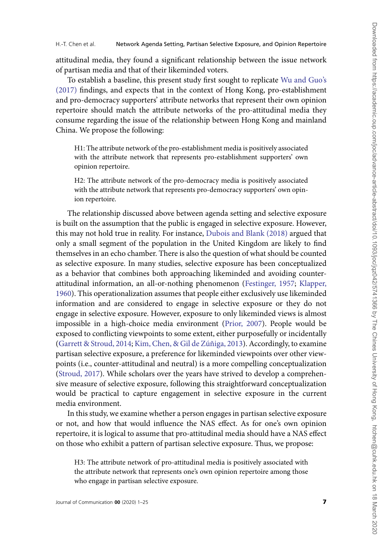attitudinal media, they found a significant relationship between the issue network of partisan media and that of their likeminded voters.

To establish a baseline, this present study first sought to replicate Wu and Guo's (2017) [findings, and expects that in the context of Hong Kong, pro-establishment](#page-24-0) and pro-democracy supporters' attribute networks that represent their own opinion repertoire should match the attribute networks of the pro-attitudinal media they consume regarding the issue of the relationship between Hong Kong and mainland China. We propose the following:

H1: The attribute network of the pro-establishment media is positively associated with the attribute network that represents pro-establishment supporters' own opinion repertoire.

H2: The attribute network of the pro-democracy media is positively associated with the attribute network that represents pro-democracy supporters' own opinion repertoire.

The relationship discussed above between agenda setting and selective exposure is built on the assumption that the public is engaged in selective exposure. However, this may not hold true in reality. For instance, [Dubois and Blank \(2018\)](#page-22-5) argued that only a small segment of the population in the United Kingdom are likely to find themselves in an echo chamber. There is also the question of what should be counted as selective exposure. In many studies, selective exposure has been conceptualized as a behavior that combines both approaching likeminded and avoiding counterattitudinal information, an all-or-nothing phenomenon [\(Festinger, 1957;](#page-22-8) Klapper, [1960\). This operationalization assumes that people either exclusively use likeminded](#page-22-7) information and are considered to engage in selective exposure or they do not engage in selective exposure. However, exposure to only likeminded views is almost impossible in a high-choice media environment [\(Prior, 2007\)](#page-23-12). People would be exposed to conflicting viewpoints to some extent, either purposefully or incidentally [\(Garrett & Stroud, 2014;](#page-22-12) [Kim, Chen, & Gil de Zúñiga, 2013\)](#page-22-13). Accordingly, to examine partisan selective exposure, a preference for likeminded viewpoints over other viewpoints (i.e., counter-attitudinal and neutral) is a more compelling conceptualization [\(Stroud, 2017\)](#page-23-13). While scholars over the years have strived to develop a comprehensive measure of selective exposure, following this straightforward conceptualization would be practical to capture engagement in selective exposure in the current media environment.

In this study, we examine whether a person engages in partisan selective exposure or not, and how that would influence the NAS effect. As for one's own opinion repertoire, it is logical to assume that pro-attitudinal media should have a NAS effect on those who exhibit a pattern of partisan selective exposure. Thus, we propose:

H3: The attribute network of pro-attitudinal media is positively associated with the attribute network that represents one's own opinion repertoire among those who engage in partisan selective exposure.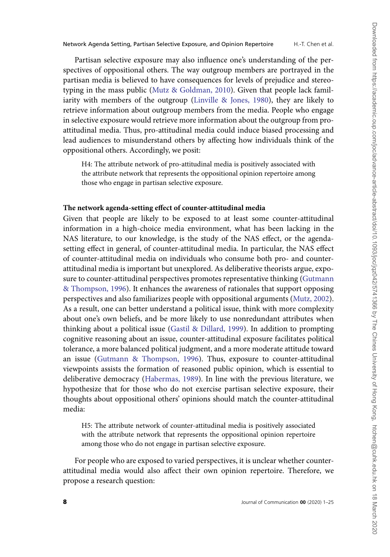Partisan selective exposure may also influence one's understanding of the perspectives of oppositional others. The way outgroup members are portrayed in the partisan media is believed to have consequences for levels of prejudice and stereotyping in the mass public [\(Mutz & Goldman, 2010\)](#page-23-14). Given that people lack familiarity with members of the outgroup [\(Linville & Jones, 1980\)](#page-23-15), they are likely to retrieve information about outgroup members from the media. People who engage in selective exposure would retrieve more information about the outgroup from proattitudinal media. Thus, pro-attitudinal media could induce biased processing and lead audiences to misunderstand others by affecting how individuals think of the oppositional others. Accordingly, we posit:

H4: The attribute network of pro-attitudinal media is positively associated with the attribute network that represents the oppositional opinion repertoire among those who engage in partisan selective exposure.

## **The network agenda-setting effect of counter-attitudinal media**

Given that people are likely to be exposed to at least some counter-attitudinal information in a high-choice media environment, what has been lacking in the NAS literature, to our knowledge, is the study of the NAS effect, or the agendasetting effect in general, of counter-attitudinal media. In particular, the NAS effect of counter-attitudinal media on individuals who consume both pro- and counterattitudinal media is important but unexplored. As deliberative theorists argue, exposure to counter-attitudinal perspectives promotes representative thinking (Gutmann [& Thompson, 1996\). It enhances the awareness of rationales that support opposing](#page-22-3) perspectives and also familiarizes people with oppositional arguments [\(Mutz, 2002\)](#page-23-2). As a result, one can better understand a political issue, think with more complexity about one's own beliefs, and be more likely to use nonredundant attributes when thinking about a political issue [\(Gastil & Dillard, 1999\)](#page-22-14). In addition to prompting cognitive reasoning about an issue, counter-attitudinal exposure facilitates political tolerance, a more balanced political judgment, and a more moderate attitude toward an issue [\(Gutmann & Thompson, 1996\)](#page-22-3). Thus, exposure to counter-attitudinal viewpoints assists the formation of reasoned public opinion, which is essential to deliberative democracy [\(Habermas, 1989\)](#page-22-10). In line with the previous literature, we hypothesize that for those who do not exercise partisan selective exposure, their thoughts about oppositional others' opinions should match the counter-attitudinal media:

H5: The attribute network of counter-attitudinal media is positively associated with the attribute network that represents the oppositional opinion repertoire among those who do not engage in partisan selective exposure.

For people who are exposed to varied perspectives, it is unclear whether counterattitudinal media would also affect their own opinion repertoire. Therefore, we propose a research question: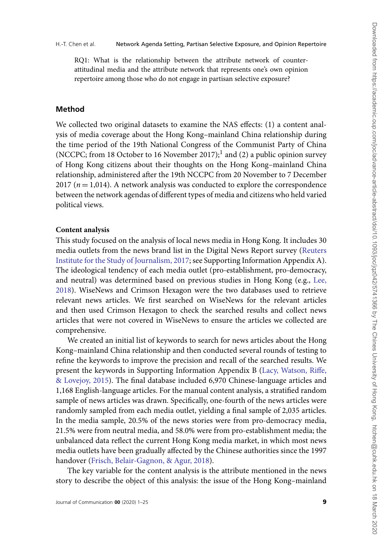RQ1: What is the relationship between the attribute network of counterattitudinal media and the attribute network that represents one's own opinion repertoire among those who do not engage in partisan selective exposure?

## **Method**

We collected two original datasets to examine the NAS effects: (1) a content analysis of media coverage about the Hong Kong–mainland China relationship during the time period of the 19th National Congress of the Communist Party of China (NCCPC; from 18 October to 16 November 2017);<sup>1</sup> and (2) a public opinion survey of Hong Kong citizens about their thoughts on the Hong Kong–mainland China relationship, administered after the 19th NCCPC from 20 November to 7 December 2017 ( $n = 1,014$ ). A network analysis was conducted to explore the correspondence between the network agendas of different types of media and citizens who held varied political views.

### **Content analysis**

This study focused on the analysis of local news media in Hong Kong. It includes 30 media outlets from the news brand list in the Digital News Report survey (Reuters [Institute for the Study of Journalism, 2017; see Supporting Information Appendix A\).](#page-23-16) The ideological tendency of each media outlet (pro-establishment, pro-democracy, and neutral) was determined based on previous studies in Hong Kong (e.g., Lee, [2018\). WiseNews and Crimson Hexagon were the two databases used to retrieve](#page-22-11) relevant news articles. We first searched on WiseNews for the relevant articles and then used Crimson Hexagon to check the searched results and collect news articles that were not covered in WiseNews to ensure the articles we collected are comprehensive.

We created an initial list of keywords to search for news articles about the Hong Kong–mainland China relationship and then conducted several rounds of testing to refine the keywords to improve the precision and recall of the searched results. We [present the keywords in Supporting Information Appendix B \(Lacy, Watson, Riffe,](#page-23-17) & Lovejoy, 2015). The final database included 6,970 Chinese-language articles and 1,168 English-language articles. For the manual content analysis, a stratified random sample of news articles was drawn. Specifically, one-fourth of the news articles were randomly sampled from each media outlet, yielding a final sample of 2,035 articles. In the media sample, 20.5% of the news stories were from pro-democracy media, 21.5% were from neutral media, and 58.0% were from pro-establishment media; the unbalanced data reflect the current Hong Kong media market, in which most news media outlets have been gradually affected by the Chinese authorities since the 1997 handover [\(Frisch, Belair-Gagnon, & Agur, 2018\)](#page-22-15).

The key variable for the content analysis is the attribute mentioned in the news story to describe the object of this analysis: the issue of the Hong Kong–mainland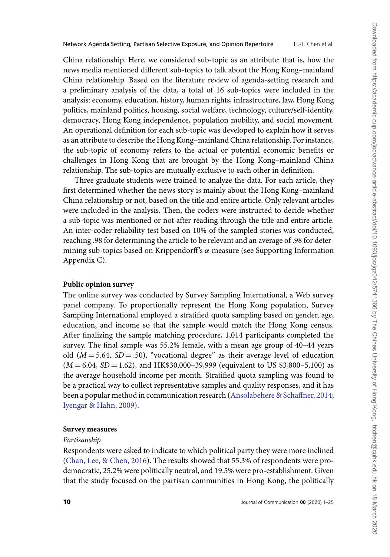China relationship. Here, we considered sub-topic as an attribute: that is, how the news media mentioned different sub-topics to talk about the Hong Kong–mainland China relationship. Based on the literature review of agenda-setting research and a preliminary analysis of the data, a total of 16 sub-topics were included in the analysis: economy, education, history, human rights, infrastructure, law, Hong Kong politics, mainland politics, housing, social welfare, technology, culture/self-identity, democracy, Hong Kong independence, population mobility, and social movement. An operational definition for each sub-topic was developed to explain how it serves as an attribute to describe the Hong Kong–mainland China relationship. For instance, the sub-topic of economy refers to the actual or potential economic benefits or challenges in Hong Kong that are brought by the Hong Kong–mainland China relationship. The sub-topics are mutually exclusive to each other in definition.

Three graduate students were trained to analyze the data. For each article, they first determined whether the news story is mainly about the Hong Kong–mainland China relationship or not, based on the title and entire article. Only relevant articles were included in the analysis. Then, the coders were instructed to decide whether a sub-topic was mentioned or not after reading through the title and entire article. An inter-coder reliability test based on 10% of the sampled stories was conducted, reaching .98 for determining the article to be relevant and an average of .98 for determining sub-topics based on Krippendorff 's *α* measure (see Supporting Information Appendix C).

### **Public opinion survey**

The online survey was conducted by Survey Sampling International, a Web survey panel company. To proportionally represent the Hong Kong population, Survey Sampling International employed a stratified quota sampling based on gender, age, education, and income so that the sample would match the Hong Kong census. After finalizing the sample matching procedure, 1,014 participants completed the survey. The final sample was 55.2% female, with a mean age group of 40–44 years old  $(M = 5.64, SD = .50)$ , "vocational degree" as their average level of education (*M* = 6.04, *SD* = 1.62), and HK\$30,000–39,999 (equivalent to US \$3,800–5,100) as the average household income per month. Stratified quota sampling was found to be a practical way to collect representative samples and quality responses, and it has been a popular method in communication research [\(Ansolabehere & Schaffner, 2014;](#page-21-9) [Iyengar & Hahn, 2009\)](#page-22-4).

## **Survey measures**

### *Partisanship*

Respondents were asked to indicate to which political party they were more inclined [\(Chan, Lee, & Chen, 2016\)](#page-21-6). The results showed that 55.3% of respondents were prodemocratic, 25.2% were politically neutral, and 19.5% were pro-establishment. Given that the study focused on the partisan communities in Hong Kong, the politically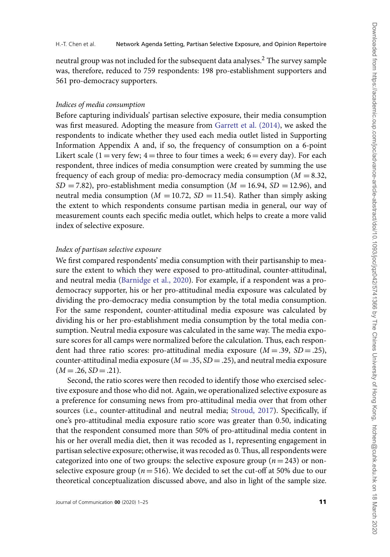neutral group was not included for the subsequent data analyses.<sup>2</sup> The survey sample was, therefore, reduced to 759 respondents: 198 pro-establishment supporters and 561 pro-democracy supporters.

## *Indices of media consumption*

Before capturing individuals' partisan selective exposure, their media consumption was first measured. Adopting the measure from [Garrett et al. \(2014\),](#page-22-16) we asked the respondents to indicate whether they used each media outlet listed in Supporting Information Appendix A and, if so, the frequency of consumption on a 6-point Likert scale (1 = very few;  $4$  = three to four times a week;  $6$  = every day). For each respondent, three indices of media consumption were created by summing the use frequency of each group of media: pro-democracy media consumption  $(M = 8.32)$ ,  $SD = 7.82$ , pro-establishment media consumption ( $M = 16.94$ ,  $SD = 12.96$ ), and neutral media consumption ( $M = 10.72$ ,  $SD = 11.54$ ). Rather than simply asking the extent to which respondents consume partisan media in general, our way of measurement counts each specific media outlet, which helps to create a more valid index of selective exposure.

## *Index of partisan selective exposure*

We first compared respondents' media consumption with their partisanship to measure the extent to which they were exposed to pro-attitudinal, counter-attitudinal, and neutral media [\(Barnidge et al., 2020\)](#page-21-8). For example, if a respondent was a prodemocracy supporter, his or her pro-attitudinal media exposure was calculated by dividing the pro-democracy media consumption by the total media consumption. For the same respondent, counter-attitudinal media exposure was calculated by dividing his or her pro-establishment media consumption by the total media consumption. Neutral media exposure was calculated in the same way. The media exposure scores for all camps were normalized before the calculation. Thus, each respondent had three ratio scores: pro-attitudinal media exposure  $(M = .39, SD = .25)$ , counter-attitudinal media exposure  $(M = .35, SD = .25)$ , and neutral media exposure  $(M = .26, SD = .21)$ .

Second, the ratio scores were then recoded to identify those who exercised selective exposure and those who did not. Again, we operationalized selective exposure as a preference for consuming news from pro-attitudinal media over that from other sources (i.e., counter-attitudinal and neutral media; [Stroud, 2017\)](#page-23-13). Specifically, if one's pro-attitudinal media exposure ratio score was greater than 0.50, indicating that the respondent consumed more than 50% of pro-attitudinal media content in his or her overall media diet, then it was recoded as 1, representing engagement in partisan selective exposure; otherwise, it was recoded as 0. Thus, all respondents were categorized into one of two groups: the selective exposure group  $(n = 243)$  or nonselective exposure group ( $n = 516$ ). We decided to set the cut-off at 50% due to our theoretical conceptualization discussed above, and also in light of the sample size.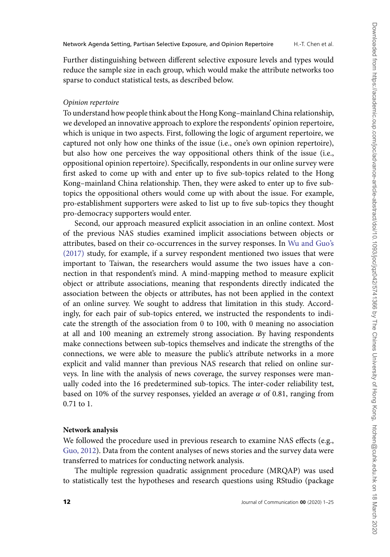Further distinguishing between different selective exposure levels and types would reduce the sample size in each group, which would make the attribute networks too sparse to conduct statistical tests, as described below.

## *Opinion repertoire*

To understand how people think about the Hong Kong–mainland China relationship, we developed an innovative approach to explore the respondents' opinion repertoire, which is unique in two aspects. First, following the logic of argument repertoire, we captured not only how one thinks of the issue (i.e., one's own opinion repertoire), but also how one perceives the way oppositional others think of the issue (i.e., oppositional opinion repertoire). Specifically, respondents in our online survey were first asked to come up with and enter up to five sub-topics related to the Hong Kong–mainland China relationship. Then, they were asked to enter up to five subtopics the oppositional others would come up with about the issue. For example, pro-establishment supporters were asked to list up to five sub-topics they thought pro-democracy supporters would enter.

Second, our approach measured explicit association in an online context. Most of the previous NAS studies examined implicit associations between objects or attributes, based on their co-occurrences in the survey responses. In Wu and Guo's (2017) [study, for example, if a survey respondent mentioned two issues that were](#page-24-0) important to Taiwan, the researchers would assume the two issues have a connection in that respondent's mind. A mind-mapping method to measure explicit object or attribute associations, meaning that respondents directly indicated the association between the objects or attributes, has not been applied in the context of an online survey. We sought to address that limitation in this study. Accordingly, for each pair of sub-topics entered, we instructed the respondents to indicate the strength of the association from 0 to 100, with 0 meaning no association at all and 100 meaning an extremely strong association. By having respondents make connections between sub-topics themselves and indicate the strengths of the connections, we were able to measure the public's attribute networks in a more explicit and valid manner than previous NAS research that relied on online surveys. In line with the analysis of news coverage, the survey responses were manually coded into the 16 predetermined sub-topics. The inter-coder reliability test, based on 10% of the survey responses, yielded an average  $\alpha$  of 0.81, ranging from 0.71 to 1.

## **Network analysis**

We followed the procedure used in previous research to examine NAS effects (e.g., [Guo, 2012\)](#page-22-1). Data from the content analyses of news stories and the survey data were transferred to matrices for conducting network analysis.

The multiple regression quadratic assignment procedure (MRQAP) was used to statistically test the hypotheses and research questions using RStudio (package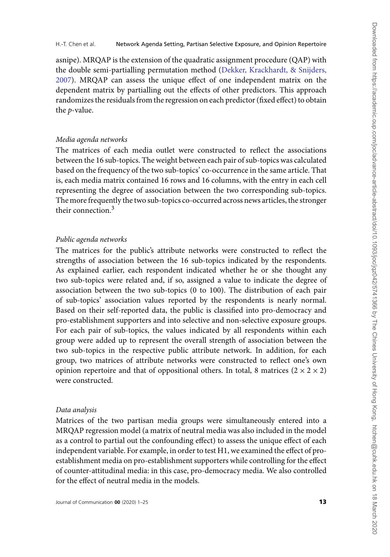#### H.-T. Chen et al. Network Agenda Setting, Partisan Selective Exposure, and Opinion Repertoire

asnipe). MRQAP is the extension of the quadratic assignment procedure (QAP) with [the double semi-partialling permutation method \(Dekker, Krackhardt, & Snijders,](#page-22-17) 2007). MRQAP can assess the unique effect of one independent matrix on the dependent matrix by partialling out the effects of other predictors. This approach randomizes the residuals from the regression on each predictor (fixed effect) to obtain the *p*-value.

## *Media agenda networks*

The matrices of each media outlet were constructed to reflect the associations between the 16 sub-topics. The weight between each pair of sub-topics was calculated based on the frequency of the two sub-topics' co-occurrence in the same article. That is, each media matrix contained 16 rows and 16 columns, with the entry in each cell representing the degree of association between the two corresponding sub-topics. The more frequently the two sub-topics co-occurred across news articles, the stronger their connection  $3$ 

#### *Public agenda networks*

The matrices for the public's attribute networks were constructed to reflect the strengths of association between the 16 sub-topics indicated by the respondents. As explained earlier, each respondent indicated whether he or she thought any two sub-topics were related and, if so, assigned a value to indicate the degree of association between the two sub-topics (0 to 100). The distribution of each pair of sub-topics' association values reported by the respondents is nearly normal. Based on their self-reported data, the public is classified into pro-democracy and pro-establishment supporters and into selective and non-selective exposure groups. For each pair of sub-topics, the values indicated by all respondents within each group were added up to represent the overall strength of association between the two sub-topics in the respective public attribute network. In addition, for each group, two matrices of attribute networks were constructed to reflect one's own opinion repertoire and that of oppositional others. In total, 8 matrices  $(2 \times 2 \times 2)$ were constructed.

### *Data analysis*

Matrices of the two partisan media groups were simultaneously entered into a MRQAP regression model (a matrix of neutral media was also included in the model as a control to partial out the confounding effect) to assess the unique effect of each independent variable. For example, in order to test H1, we examined the effect of proestablishment media on pro-establishment supporters while controlling for the effect of counter-attitudinal media: in this case, pro-democracy media. We also controlled for the effect of neutral media in the models.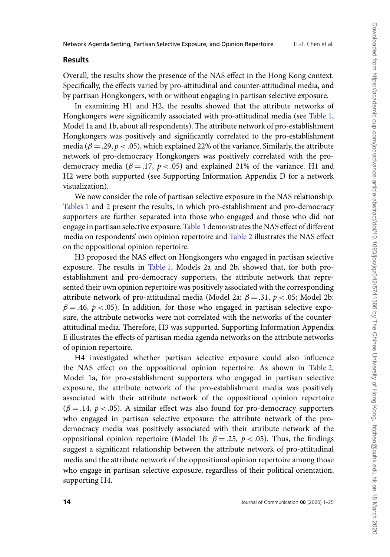## **Results**

Overall, the results show the presence of the NAS effect in the Hong Kong context. Specifically, the effects varied by pro-attitudinal and counter-attitudinal media, and by partisan Hongkongers, with or without engaging in partisan selective exposure.

In examining H1 and H2, the results showed that the attribute networks of Hongkongers were significantly associated with pro-attitudinal media (see [Table 1,](#page-14-0) Model 1a and 1b, about all respondents). The attribute network of pro-establishment Hongkongers was positively and significantly correlated to the pro-establishment media ( $\beta = .29$ ,  $p < .05$ ), which explained 22% of the variance. Similarly, the attribute network of pro-democracy Hongkongers was positively correlated with the prodemocracy media ( $\beta = 0.17$ ,  $p < 0.05$ ) and explained 21% of the variance. H1 and H2 were both supported (see Supporting Information Appendix D for a network visualization).

We now consider the role of partisan selective exposure in the NAS relationship. [Tables 1](#page-14-0) and [2](#page-15-0) present the results, in which pro-establishment and pro-democracy supporters are further separated into those who engaged and those who did not engage in partisan selective exposure. [Table 1](#page-14-0) demonstrates the NAS effect of different media on respondents' own opinion repertoire and [Table 2](#page-15-0) illustrates the NAS effect on the oppositional opinion repertoire.

H3 proposed the NAS effect on Hongkongers who engaged in partisan selective exposure. The results in [Table 1,](#page-14-0) Models 2a and 2b, showed that, for both proestablishment and pro-democracy supporters, the attribute network that represented their own opinion repertoire was positively associated with the corresponding attribute network of pro-attitudinal media (Model 2a:  $\beta = .31$ ,  $p < .05$ ; Model 2b:  $\beta = .46$ ,  $p < .05$ ). In addition, for those who engaged in partisan selective exposure, the attribute networks were not correlated with the networks of the counterattitudinal media. Therefore, H3 was supported. Supporting Information Appendix E illustrates the effects of partisan media agenda networks on the attribute networks of opinion repertoire.

H4 investigated whether partisan selective exposure could also influence the NAS effect on the oppositional opinion repertoire. As shown in [Table 2,](#page-15-0) Model 1a, for pro-establishment supporters who engaged in partisan selective exposure, the attribute network of the pro-establishment media was positively associated with their attribute network of the oppositional opinion repertoire  $(\beta = .14, p < .05)$ . A similar effect was also found for pro-democracy supporters who engaged in partisan selective exposure: the attribute network of the prodemocracy media was positively associated with their attribute network of the oppositional opinion repertoire (Model 1b: *β* = .25, *p <* .05). Thus, the findings suggest a significant relationship between the attribute network of pro-attitudinal media and the attribute network of the oppositional opinion repertoire among those who engage in partisan selective exposure, regardless of their political orientation, supporting H4.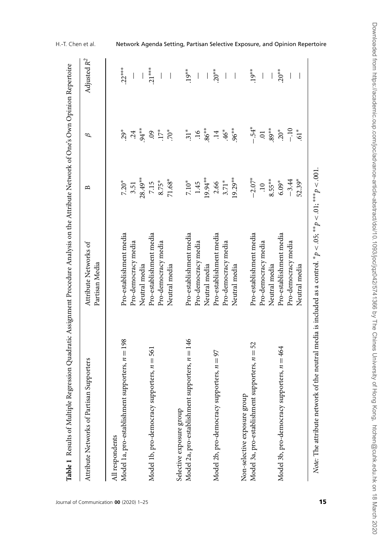<span id="page-14-0"></span>

| ļ<br>I                                                                                           |
|--------------------------------------------------------------------------------------------------|
| ֧ׅ֧ׅ֧ׅ֧֧֧ׅ֧֧֧ׅ֧֧֧֧֛֪֪ׅ֧֧ׅ֧֛֪ׅ֧֧֚֚֚֚֚֚֚֚֚֚֚֚֚֚֚֚֚֚֚֚֚֚֚֚֚֚֚֚֚֚֚֚֡֝֝֝֝֓֝֬֝֝֓֝֬֝֝֬֝֬֝֬֝֝֝֬֝֝֝֬<br>1 |
| ;<br>;<br>;                                                                                      |
|                                                                                                  |
|                                                                                                  |
| i                                                                                                |
| ֖֖֪֚֚֚֚֚֚֚֚֚֚֚֚֚֚֚֚֚֚֚֚֚֡֬֝֝֝֝֬֝֝֬֝֬֝֬֝֬֝֓֬֝֬֝֬֝֬֝֬֝֬֝֬֝֬֝֬֝֬<br>;<br>;                          |
|                                                                                                  |
| i                                                                                                |
| ļ                                                                                                |
|                                                                                                  |
|                                                                                                  |
| I<br>ׇ֚֓<br>.<br>و .<br>ׇ֚֘֝֬<br>¢<br>ׇ֚֡                                                        |
|                                                                                                  |
| l                                                                                                |
|                                                                                                  |

| Attribute Networks of Partisan Supporters            | Attribute Networks of<br>Partisan Media | B          | $^{\circ}$      | Adjusted R <sup>2</sup>  |
|------------------------------------------------------|-----------------------------------------|------------|-----------------|--------------------------|
| All respondents                                      |                                         |            |                 |                          |
| Model 1a, pro-establishment supporters, $n = 198$    | Pro-establishment media                 | $7.20*$    | $29*$           | $.22***$                 |
|                                                      | Pro-democracy media                     | 3.51       | $\ddot{c}$      |                          |
|                                                      | Neutral media                           | 28.49**    | 94**            |                          |
| Model 1b, pro-democracy supporters, $n = 561$        | Pro-establishment media                 | 7.15       | 60              | $.21***$                 |
|                                                      | Pro-democracy media                     | $8.75*$    | $17*$           |                          |
|                                                      | Neutral media                           | $71.68*$   | $70*$           |                          |
| Selective exposure group                             |                                         |            |                 |                          |
| supporters, $n = 146$<br>Model 2a, pro-establishment | Pro-establishment media                 | $7.10*$    | $31*$           | $.19***$                 |
|                                                      | Pro-democracy media                     | 1.45       | $\overline{16}$ | $\overline{\phantom{a}}$ |
|                                                      | Neutral media                           | 19.94**    | $86**$          |                          |
| Model 2b, pro-democracy supporters, $n = 97$         | Pro-establishment media                 | 2.66       | $\overline{14}$ | $20**$                   |
|                                                      | Pro-democracy media                     | $3.71*$    | $46*$           |                          |
|                                                      | Neutral media                           | 19.29**    | $96**$          |                          |
| Non-selective exposure group                         |                                         |            |                 |                          |
| supporters, $n = 52$<br>Model 3a, pro-establishment  | Pro-establishment media                 | $-2.07*$   | $-54*$          | $.19**$                  |
|                                                      | Pro-democracy media                     | $\ddot{=}$ | $\overline{0}$  |                          |
|                                                      | Neutral media                           | $8.55***$  | $.89**$         |                          |
| Model 3b, pro-democracy supporters, $n = 464$        | Pro-establishment media                 | $6.09*$    | $.20*$          | $.20**$                  |
|                                                      | Pro-democracy media                     | $-3.44$    | $-10$           |                          |
|                                                      | Neutral media                           | 52.39*     | $61*$           |                          |

H.-T. Chen et al. Network Agenda Setting, Partisan Selective Exposure, and Opinion Repertoire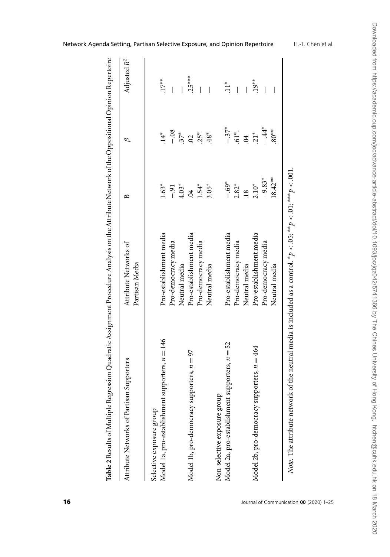| į                                     |
|---------------------------------------|
|                                       |
| l                                     |
| ļ<br>I                                |
|                                       |
|                                       |
|                                       |
|                                       |
|                                       |
| l                                     |
|                                       |
|                                       |
|                                       |
| l                                     |
|                                       |
|                                       |
|                                       |
|                                       |
| ֧֚֓֓֓֓֓֓ <b>֓</b>                     |
|                                       |
|                                       |
| י                                     |
|                                       |
|                                       |
|                                       |
|                                       |
|                                       |
|                                       |
|                                       |
|                                       |
|                                       |
|                                       |
|                                       |
|                                       |
|                                       |
|                                       |
| I                                     |
|                                       |
| ı                                     |
|                                       |
|                                       |
|                                       |
|                                       |
|                                       |
|                                       |
|                                       |
|                                       |
|                                       |
| İ                                     |
| i                                     |
|                                       |
|                                       |
|                                       |
|                                       |
|                                       |
|                                       |
|                                       |
| $\begin{array}{c} \hline \end{array}$ |
|                                       |
|                                       |
|                                       |
|                                       |
|                                       |
|                                       |
|                                       |
|                                       |
|                                       |
|                                       |
|                                       |
|                                       |
|                                       |
|                                       |
|                                       |
|                                       |
|                                       |
|                                       |
|                                       |
|                                       |
|                                       |
| i                                     |
| l<br>l<br>J<br>l<br>d<br>l            |
|                                       |
| ì                                     |
| ľ                                     |
|                                       |
| ı                                     |
|                                       |
|                                       |
|                                       |
|                                       |
|                                       |
|                                       |
|                                       |
|                                       |
|                                       |
|                                       |
|                                       |
|                                       |
|                                       |
| $\overline{a}$                        |
|                                       |
| l                                     |

| Attribute Networks of Partisan Supporters         | Attribute Networks of   | $\mathbf{r}$ | B                        | Adjusted $\mathbb{R}^2$  |
|---------------------------------------------------|-------------------------|--------------|--------------------------|--------------------------|
|                                                   | Partisan Media          |              |                          |                          |
| Selective exposure group                          |                         |              |                          |                          |
| Model 1a, pro-establishment supporters, $n = 146$ | Pro-establishment media | $1.63*$      | $14*$                    | $.17**$                  |
|                                                   | Pro-democracy media     | $-91$        | $-0.8$                   |                          |
|                                                   | Neutral media           | $4.03*$      | $37*$                    | I                        |
| Model 1b, pro-democracy supporters, $n = 97$      | Pro-establishment media | $\ddot{5}$   | $\overline{c}$           | $.25***$                 |
|                                                   | Pro-democracy media     | 1.54*        | $25*$                    | I                        |
|                                                   | Neutral media           | $3.05*$      | $\,^\ast\!\!\!\!88^\ast$ |                          |
| Non-selective exposure group                      |                         |              |                          |                          |
| Model 2a, pro-establishment supporters, $n = 52$  | Pro-establishment media | $-0.69*$     | $-.37*$                  | $\stackrel{*}{=}$        |
|                                                   | Pro-democracy media     | $2.82*$      | $61*$ .                  | $\overline{\phantom{a}}$ |
|                                                   | Neutral media           | $\ddot{.}$   | Ś,                       | $\bigg $                 |
| Model 2b, pro-democracy supporters, $n = 464$     | Pro-establishment media | $2.10*$      | $21*$                    | $.19***$                 |
|                                                   | Pro-democracy media     | $-9.83*$     | $-44*$                   | I                        |
|                                                   | Neutral media           | $18.42**$    | $.80**$                  |                          |

<span id="page-15-0"></span>*<* .001. *p* .<br>∪1; *<p <* .05; ∗∗ *Note:* The attribute network of the neutral media is included as a control. ∗*p* лигот. J. ₹ ₹ Ë  $\overline{a}$ ≝ u aππ  $\frac{1}{2}$ *INUIE:* 

## Network Agenda Setting, Partisan Selective Exposure, and Opinion Repertoire H.-T. Chen et al.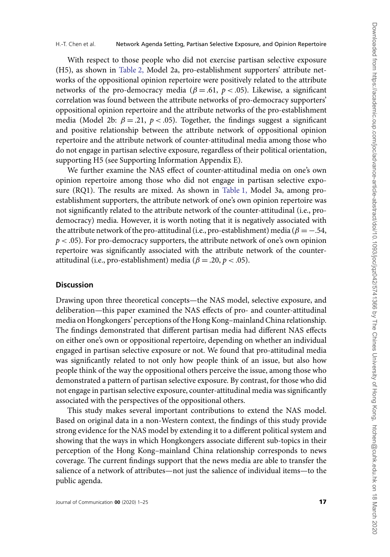H.-T. Chen et al. Network Agenda Setting, Partisan Selective Exposure, and Opinion Repertoire

With respect to those people who did not exercise partisan selective exposure (H5), as shown in [Table 2,](#page-15-0) Model 2a, pro-establishment supporters' attribute networks of the oppositional opinion repertoire were positively related to the attribute networks of the pro-democracy media ( $\beta = .61$ ,  $p < .05$ ). Likewise, a significant correlation was found between the attribute networks of pro-democracy supporters' oppositional opinion repertoire and the attribute networks of the pro-establishment media (Model 2b:  $\beta = .21$ ,  $p < .05$ ). Together, the findings suggest a significant and positive relationship between the attribute network of oppositional opinion repertoire and the attribute network of counter-attitudinal media among those who do not engage in partisan selective exposure, regardless of their political orientation, supporting H5 (see Supporting Information Appendix E).

We further examine the NAS effect of counter-attitudinal media on one's own opinion repertoire among those who did not engage in partisan selective exposure (RQ1). The results are mixed. As shown in [Table 1,](#page-14-0) Model 3a, among proestablishment supporters, the attribute network of one's own opinion repertoire was not significantly related to the attribute network of the counter-attitudinal (i.e., prodemocracy) media. However, it is worth noting that it is negatively associated with the attribute network of the pro-attitudinal (i.e., pro-establishment) media ( $\beta = -.54$ , *p <* .05). For pro-democracy supporters, the attribute network of one's own opinion repertoire was significantly associated with the attribute network of the counterattitudinal (i.e., pro-establishment) media ( $\beta$  = .20,  $p$  < .05).

### **Discussion**

Drawing upon three theoretical concepts—the NAS model, selective exposure, and deliberation—this paper examined the NAS effects of pro- and counter-attitudinal media on Hongkongers' perceptions of the Hong Kong–mainland China relationship. The findings demonstrated that different partisan media had different NAS effects on either one's own or oppositional repertoire, depending on whether an individual engaged in partisan selective exposure or not. We found that pro-attitudinal media was significantly related to not only how people think of an issue, but also how people think of the way the oppositional others perceive the issue, among those who demonstrated a pattern of partisan selective exposure. By contrast, for those who did not engage in partisan selective exposure, counter-attitudinal media was significantly associated with the perspectives of the oppositional others.

This study makes several important contributions to extend the NAS model. Based on original data in a non-Western context, the findings of this study provide strong evidence for the NAS model by extending it to a different political system and showing that the ways in which Hongkongers associate different sub-topics in their perception of the Hong Kong–mainland China relationship corresponds to news coverage. The current findings support that the news media are able to transfer the salience of a network of attributes—not just the salience of individual items—to the public agenda.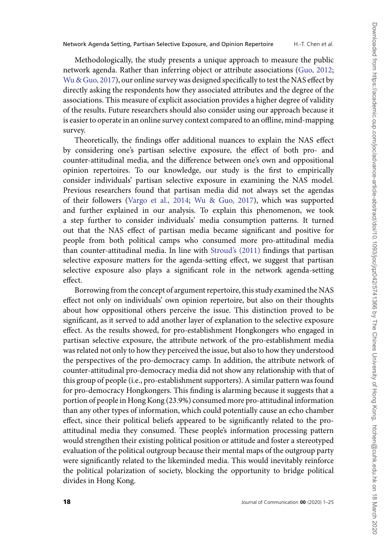Methodologically, the study presents a unique approach to measure the public network agenda. Rather than inferring object or attribute associations [\(Guo, 2012;](#page-22-1) [Wu & Guo, 2017\)](#page-24-0), our online survey was designed specifically to test the NAS effect by directly asking the respondents how they associated attributes and the degree of the associations. This measure of explicit association provides a higher degree of validity of the results. Future researchers should also consider using our approach because it is easier to operate in an online survey context compared to an offline, mind-mapping survey.

Theoretically, the findings offer additional nuances to explain the NAS effect by considering one's partisan selective exposure, the effect of both pro- and counter-attitudinal media, and the difference between one's own and oppositional opinion repertoires. To our knowledge, our study is the first to empirically consider individuals' partisan selective exposure in examining the NAS model. Previous researchers found that partisan media did not always set the agendas of their followers [\(Vargo et al., 2014;](#page-23-7) [Wu & Guo, 2017\)](#page-24-0), which was supported and further explained in our analysis. To explain this phenomenon, we took a step further to consider individuals' media consumption patterns. It turned out that the NAS effect of partisan media became significant and positive for people from both political camps who consumed more pro-attitudinal media than counter-attitudinal media. In line with [Stroud's \(2011\)](#page-23-5) findings that partisan selective exposure matters for the agenda-setting effect, we suggest that partisan selective exposure also plays a significant role in the network agenda-setting effect.

Borrowing from the concept of argument repertoire, this study examined the NAS effect not only on individuals' own opinion repertoire, but also on their thoughts about how oppositional others perceive the issue. This distinction proved to be significant, as it served to add another layer of explanation to the selective exposure effect. As the results showed, for pro-establishment Hongkongers who engaged in partisan selective exposure, the attribute network of the pro-establishment media was related not only to how they perceived the issue, but also to how they understood the perspectives of the pro-democracy camp. In addition, the attribute network of counter-attitudinal pro-democracy media did not show any relationship with that of this group of people (i.e., pro-establishment supporters). A similar pattern was found for pro-democracy Hongkongers. This finding is alarming because it suggests that a portion of people in Hong Kong (23.9%) consumed more pro-attitudinal information than any other types of information, which could potentially cause an echo chamber effect, since their political beliefs appeared to be significantly related to the proattitudinal media they consumed. These people's information processing pattern would strengthen their existing political position or attitude and foster a stereotyped evaluation of the political outgroup because their mental maps of the outgroup party were significantly related to the likeminded media. This would inevitably reinforce the political polarization of society, blocking the opportunity to bridge political divides in Hong Kong.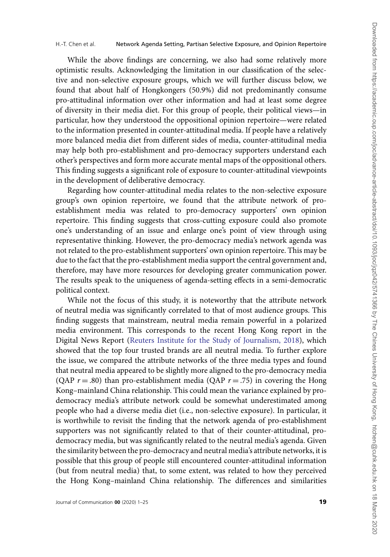While the above findings are concerning, we also had some relatively more optimistic results. Acknowledging the limitation in our classification of the selective and non-selective exposure groups, which we will further discuss below, we found that about half of Hongkongers (50.9%) did not predominantly consume pro-attitudinal information over other information and had at least some degree of diversity in their media diet. For this group of people, their political views—in particular, how they understood the oppositional opinion repertoire—were related to the information presented in counter-attitudinal media. If people have a relatively more balanced media diet from different sides of media, counter-attitudinal media may help both pro-establishment and pro-democracy supporters understand each other's perspectives and form more accurate mental maps of the oppositional others. This finding suggests a significant role of exposure to counter-attitudinal viewpoints in the development of deliberative democracy.

Regarding how counter-attitudinal media relates to the non-selective exposure group's own opinion repertoire, we found that the attribute network of proestablishment media was related to pro-democracy supporters' own opinion repertoire. This finding suggests that cross-cutting exposure could also promote one's understanding of an issue and enlarge one's point of view through using representative thinking. However, the pro-democracy media's network agenda was not related to the pro-establishment supporters' own opinion repertoire. This may be due to the fact that the pro-establishment media support the central government and, therefore, may have more resources for developing greater communication power. The results speak to the uniqueness of agenda-setting effects in a semi-democratic political context.

While not the focus of this study, it is noteworthy that the attribute network of neutral media was significantly correlated to that of most audience groups. This finding suggests that mainstream, neutral media remain powerful in a polarized media environment. This corresponds to the recent Hong Kong report in the Digital News Report [\(Reuters Institute for the Study of Journalism, 2018\)](#page-23-16), which showed that the top four trusted brands are all neutral media. To further explore the issue, we compared the attribute networks of the three media types and found that neutral media appeared to be slightly more aligned to the pro-democracy media (QAP  $r = .80$ ) than pro-establishment media (QAP  $r = .75$ ) in covering the Hong Kong–mainland China relationship. This could mean the variance explained by prodemocracy media's attribute network could be somewhat underestimated among people who had a diverse media diet (i.e., non-selective exposure). In particular, it is worthwhile to revisit the finding that the network agenda of pro-establishment supporters was not significantly related to that of their counter-attitudinal, prodemocracy media, but was significantly related to the neutral media's agenda. Given the similarity between the pro-democracy and neutral media's attribute networks, it is possible that this group of people still encountered counter-attitudinal information (but from neutral media) that, to some extent, was related to how they perceived the Hong Kong–mainland China relationship. The differences and similarities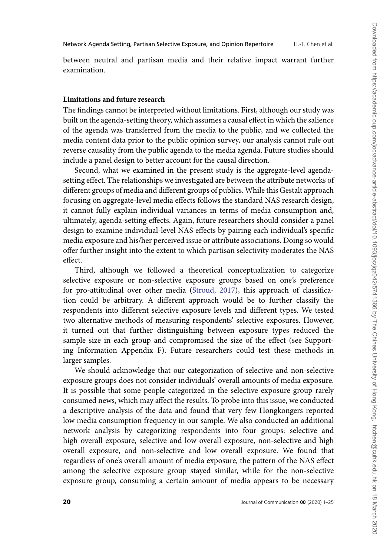between neutral and partisan media and their relative impact warrant further examination.

## **Limitations and future research**

The findings cannot be interpreted without limitations. First, although our study was built on the agenda-setting theory, which assumes a causal effect in which the salience of the agenda was transferred from the media to the public, and we collected the media content data prior to the public opinion survey, our analysis cannot rule out reverse causality from the public agenda to the media agenda. Future studies should include a panel design to better account for the causal direction.

Second, what we examined in the present study is the aggregate-level agendasetting effect. The relationships we investigated are between the attribute networks of different groups of media and different groups of publics. While this Gestalt approach focusing on aggregate-level media effects follows the standard NAS research design, it cannot fully explain individual variances in terms of media consumption and, ultimately, agenda-setting effects. Again, future researchers should consider a panel design to examine individual-level NAS effects by pairing each individual's specific media exposure and his/her perceived issue or attribute associations. Doing so would offer further insight into the extent to which partisan selectivity moderates the NAS effect.

Third, although we followed a theoretical conceptualization to categorize selective exposure or non-selective exposure groups based on one's preference for pro-attitudinal over other media [\(Stroud, 2017\)](#page-23-13), this approach of classification could be arbitrary. A different approach would be to further classify the respondents into different selective exposure levels and different types. We tested two alternative methods of measuring respondents' selective exposures. However, it turned out that further distinguishing between exposure types reduced the sample size in each group and compromised the size of the effect (see Supporting Information Appendix F). Future researchers could test these methods in larger samples.

We should acknowledge that our categorization of selective and non-selective exposure groups does not consider individuals' overall amounts of media exposure. It is possible that some people categorized in the selective exposure group rarely consumed news, which may affect the results. To probe into this issue, we conducted a descriptive analysis of the data and found that very few Hongkongers reported low media consumption frequency in our sample. We also conducted an additional network analysis by categorizing respondents into four groups: selective and high overall exposure, selective and low overall exposure, non-selective and high overall exposure, and non-selective and low overall exposure. We found that regardless of one's overall amount of media exposure, the pattern of the NAS effect among the selective exposure group stayed similar, while for the non-selective exposure group, consuming a certain amount of media appears to be necessary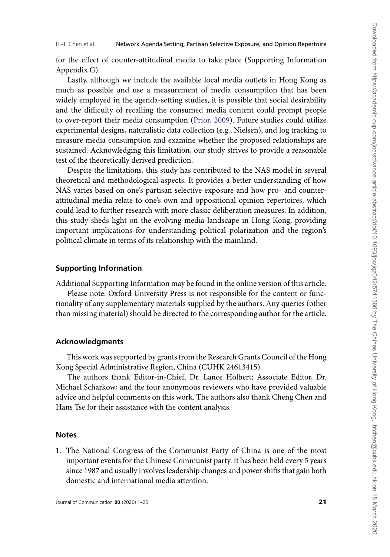for the effect of counter-attitudinal media to take place (Supporting Information Appendix G).

Lastly, although we include the available local media outlets in Hong Kong as much as possible and use a measurement of media consumption that has been widely employed in the agenda-setting studies, it is possible that social desirability and the difficulty of recalling the consumed media content could prompt people to over-report their media consumption [\(Prior, 2009\)](#page-23-12). Future studies could utilize experimental designs, naturalistic data collection (e.g., Nielsen), and log tracking to measure media consumption and examine whether the proposed relationships are sustained. Acknowledging this limitation, our study strives to provide a reasonable test of the theoretically derived prediction.

Despite the limitations, this study has contributed to the NAS model in several theoretical and methodological aspects. It provides a better understanding of how NAS varies based on one's partisan selective exposure and how pro- and counterattitudinal media relate to one's own and oppositional opinion repertoires, which could lead to further research with more classic deliberation measures. In addition, this study sheds light on the evolving media landscape in Hong Kong, providing important implications for understanding political polarization and the region's political climate in terms of its relationship with the mainland.

## **Supporting Information**

Additional Supporting Information may be found in the online version of this article.

Please note: Oxford University Press is not responsible for the content or functionality of any supplementary materials supplied by the authors. Any queries (other than missing material) should be directed to the corresponding author for the article.

## **Acknowledgments**

This work was supported by grants from the Research Grants Council of the Hong Kong Special Administrative Region, China (CUHK 24613415).

The authors thank Editor-in-Chief, Dr. Lance Holbert; Associate Editor, Dr. Michael Scharkow; and the four anonymous reviewers who have provided valuable advice and helpful comments on this work. The authors also thank Cheng Chen and Hans Tse for their assistance with the content analysis.

## **Notes**

1. The National Congress of the Communist Party of China is one of the most important events for the Chinese Communist party. It has been held every 5 years since 1987 and usually involves leadership changes and power shifts that gain both domestic and international media attention.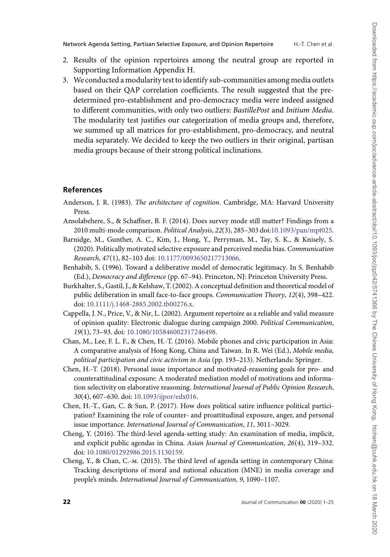- 2. Results of the opinion repertoires among the neutral group are reported in Supporting Information Appendix H.
- 3. We conducted a modularity test to identify sub-communities among media outlets based on their QAP correlation coefficients. The result suggested that the predetermined pro-establishment and pro-democracy media were indeed assigned to different communities, with only two outliers: *BastillePost* and *Initium Media*. The modularity test justifies our categorization of media groups and, therefore, we summed up all matrices for pro-establishment, pro-democracy, and neutral media separately. We decided to keep the two outliers in their original, partisan media groups because of their strong political inclinations.

## **References**

- <span id="page-21-4"></span>Anderson, J. R. (1983). *The architecture of cognition*. Cambridge, MA: Harvard University Press.
- <span id="page-21-9"></span>Ansolabehere, S., & Schaffner, B. F. (2014). Does survey mode still matter? Findings from a 2010 multi-mode comparison. *Political Analysis*, *22*(3), 285–303 doi[:10.1093/pan/mpt025.](https://doi.org/10.1093/pan/mpt025)
- <span id="page-21-8"></span>Barnidge, M., Gunther, A. C., Kim, J., Hong, Y., Perryman, M., Tay, S. K., & Knisely, S. (2020). Politically motivated selective exposure and perceived media bias. *Communication Research*, *47*(1), 82–103 doi: [10.1177/0093650217713066.](https://doi.org/10.1177/0093650217713066)
- <span id="page-21-7"></span>Benhabib, S. (1996). Toward a deliberative model of democratic legitimacy. In S. Benhabib (Ed.), *Democracy and difference* (pp. 67–94). Princeton, NJ: Princeton University Press.
- <span id="page-21-0"></span>Burkhalter, S., Gastil, J., & Kelshaw, T. (2002). A conceptual definition and theoretical model of public deliberation in small face-to-face groups. *Communication Theory*, *12*(4), 398–422. doi: [10.1111/j.1468-2885.2002.tb00276.x.](https://doi.org/10.1111/j.1468-2885.2002.tb00276.x)
- <span id="page-21-5"></span>Cappella, J. N., Price, V., & Nir, L. (2002). Argument repertoire as a reliable and valid measure of opinion quality: Electronic dialogue during campaign 2000. *Political Communication*, *19*(1), 73–93. doi: [10.1080/105846002317246498.](https://doi.org/10.1080/105846002317246498)
- <span id="page-21-6"></span>Chan, M., Lee, F. L. F., & Chen, H.-T. (2016). Mobile phones and civic participation in Asia: A comparative analysis of Hong Kong, China and Taiwan. In R. Wei (Ed.), *Mobile media, political participation and civic activism in Asia* (pp. 193–213). Netherlands: Springer.
- Chen, H.-T. (2018). Personal issue importance and motivated-reasoning goals for pro- and counterattitudinal exposure: A moderated mediation model of motivations and information selectivity on elaborative reasoning. *International Journal of Public Opinion Research*, *30*(4), 607–630. doi: [10.1093/ijpor/edx016.](https://doi.org/10.1093/ijpor/edx016)
- <span id="page-21-1"></span>Chen, H.-T., Gan, C. & Sun, P. (2017). How does political satire influence political participation? Examining the role of counter- and proattitudinal exposure, anger, and personal issue importance. *International Journal of Communication*, *11*, 3011–3029.
- <span id="page-21-2"></span>Cheng, Y. (2016). The third-level agenda-setting study: An examination of media, implicit, and explicit public agendas in China. *Asian Journal of Communication*, *26*(4), 319–332. doi: [10.1080/01292986.2015.1130159.](https://doi.org/10.1080/01292986.2015.1130159)
- <span id="page-21-3"></span>Cheng, Y., & Chan, C.-m. (2015). The third level of agenda setting in contemporary China: Tracking descriptions of moral and national education (MNE) in media coverage and people's minds. *International Journal of Communication*, *9*, 1090–1107.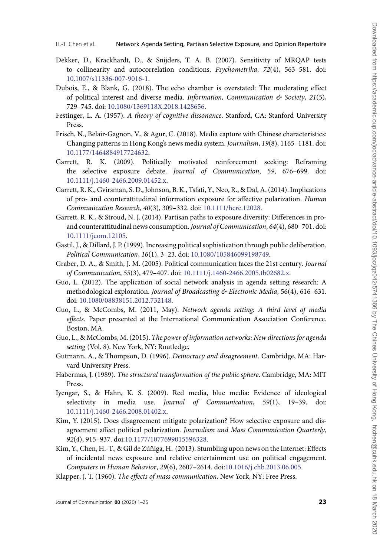- <span id="page-22-17"></span>Dekker, D., Krackhardt, D., & Snijders, T. A. B. (2007). Sensitivity of MRQAP tests to collinearity and autocorrelation conditions. *Psychometrika*, *72*(4), 563–581. doi: [10.1007/s11336-007-9016-1.](https://doi.org/10.1007/s11336-007-9016-1)
- <span id="page-22-5"></span>Dubois, E., & Blank, G. (2018). The echo chamber is overstated: The moderating effect of political interest and diverse media. *Information, Communication & Society*, *21*(5), 729–745. doi: [10.1080/1369118X.2018.1428656.](https://doi.org/10.1080/1369118X.2018.1428656)
- <span id="page-22-8"></span>Festinger, L. A. (1957). *A theory of cognitive dissonance*. Stanford, CA: Stanford University Press.
- <span id="page-22-15"></span>Frisch, N., Belair-Gagnon, V., & Agur, C. (2018). Media capture with Chinese characteristics: Changing patterns in Hong Kong's news media system. *Journalism*, *19*(8), 1165–1181. doi: [10.1177/1464884917724632.](https://doi.org/10.1177/1464884917724632)
- <span id="page-22-9"></span>Garrett, R. K. (2009). Politically motivated reinforcement seeking: Reframing the selective exposure debate. *Journal of Communication*, *59*, 676–699. doi: [10.1111/j.1460-2466.2009.01452.x.](https://doi.org/10.1111/j.1460-2466.2009.01452.x)
- <span id="page-22-16"></span>Garrett, R. K., Gvirsman, S. D., Johnson, B. K., Tsfati, Y., Neo, R., & Dal, A. (2014). Implications of pro- and counterattitudinal information exposure for affective polarization. *Human Communication Research*, *40*(3), 309–332. doi: [10.1111/hcre.12028.](https://doi.org/10.1111/hcre.12028)
- <span id="page-22-12"></span>Garrett, R. K., & Stroud, N. J. (2014). Partisan paths to exposure diversity: Differences in proand counterattitudinal news consumption. *Journal of Communication*, *64*(4), 680–701. doi: [10.1111/jcom.12105.](https://doi.org/10.1111/jcom.12105)
- <span id="page-22-14"></span>Gastil, J., & Dillard, J. P. (1999). Increasing political sophistication through public deliberation. *Political Communication*, *16*(1), 3–23. doi: [10.1080/105846099198749.](https://doi.org/10.1080/105846099198749)
- <span id="page-22-0"></span>Graber, D. A., & Smith, J. M. (2005). Political communication faces the 21st century. *Journal of Communication*, *55*(3), 479–407. doi: [10.1111/j.1460-2466.2005.tb02682.x.](https://doi.org/10.1111/j.1460-2466.2005.tb02682.x)
- <span id="page-22-1"></span>Guo, L. (2012). The application of social network analysis in agenda setting research: A methodological exploration. *Journal of Broadcasting & Electronic Media*, 56(4), 616–631. doi: [10.1080/08838151.2012.732148.](https://doi.org/10.1080/08838151.2012.732148)
- <span id="page-22-2"></span>Guo, L., & McCombs, M. (2011, May). *Network agenda setting: A third level of media effects.* Paper presented at the International Communication Association Conference. Boston, MA.
- <span id="page-22-6"></span>Guo, L., & McCombs, M. (2015). *The power of information networks: New directions for agenda setting* (Vol. 8). New York, NY: Routledge.
- <span id="page-22-3"></span>Gutmann, A., & Thompson, D. (1996). *Democracy and disagreement*. Cambridge, MA: Harvard University Press.
- <span id="page-22-10"></span>Habermas, J. (1989). *The structural transformation of the public sphere*. Cambridge, MA: MIT Press.
- <span id="page-22-4"></span>Iyengar, S., & Hahn, K. S. (2009). Red media, blue media: Evidence of ideological selectivity in media use. *Journal of Communication*, *59*(1), 19–39. doi: [10.1111/j.1460-2466.2008.01402.x.](https://doi.org/10.1111/j.1460-2466.2008.01402.x)
- <span id="page-22-11"></span>Kim, Y. (2015). Does disagreement mitigate polarization? How selective exposure and disagreement affect political polarization. *Journalism and Mass Communication Quarterly*, *92*(4), 915–937. doi[:10.1177/1077699015596328.](https://doi.org/10.1177/1077699015596328)
- <span id="page-22-13"></span>Kim, Y., Chen, H.-T., & Gil de Zúñiga, H. (2013). Stumbling upon news on the Internet: Effects of incidental news exposure and relative entertainment use on political engagement. *Computers in Human Behavior*, *29*(6), 2607–2614. doi[:10.1016/j.chb.2013.06.005.](https://doi.org/10.1016/j.chb.2013.06.005)
- <span id="page-22-7"></span>Klapper, J. T. (1960). *The effects of mass communication*. New York, NY: Free Press.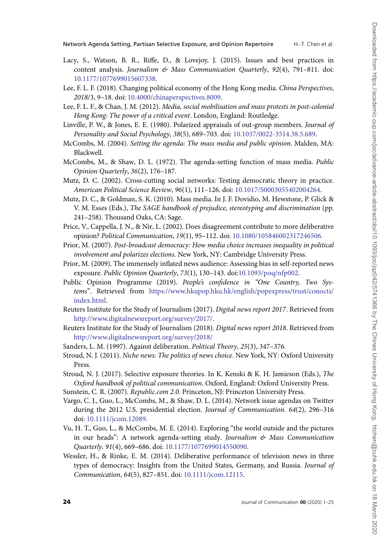Network Agenda Setting, Partisan Selective Exposure, and Opinion Repertoire H.-T. Chen et al.

- <span id="page-23-17"></span>Lacy, S., Watson, B. R., Riffe, D., & Lovejoy, J. (2015). Issues and best practices in content analysis. *Journalism & Mass Communication Quarterly*, *92*(4), 791–811. doi: [10.1177/1077699015607338.](https://doi.org/10.1177/1077699015607338)
- Lee, F. L. F. (2018). Changing political economy of the Hong Kong media. *China Perspectives*, *2018*/3, 9–18. doi: [10.4000/chinaperspectives.8009.](https://doi.org/10.4000/chinaperspectives.8009)
- <span id="page-23-6"></span>Lee, F. L. F., & Chan, J. M. (2012). *Media, social mobilisation and mass protests in post-colonial Hong Kong: The power of a critical event*. London, England: Routledge.
- <span id="page-23-15"></span>Linville, P. W., & Jones, E. E. (1980). Polarized appraisals of out-group members. *Journal of Personality and Social Psychology*, *38*(5), 689–703. doi: [10.1037/0022-3514.38.5.689.](https://doi.org/10.1037/0022-3514.38.5.689)
- <span id="page-23-0"></span>McCombs, M. (2004). *Setting the agenda: The mass media and public opinion*. Malden, MA: Blackwell.
- <span id="page-23-9"></span>McCombs, M., & Shaw, D. L. (1972). The agenda-setting function of mass media. *Public Opinion Quarterly*, *36*(2), 176–187.
- <span id="page-23-2"></span>Mutz, D. C. (2002). Cross-cutting social networks: Testing democratic theory in practice. *American Political Science Review*, *96*(1), 111–126. doi: [10.1017/S0003055402004264.](https://doi.org/10.1017/S0003055402004264)
- <span id="page-23-14"></span>Mutz, D. C., & Goldman, S. K. (2010). Mass media. In J. F. Dovidio, M. Hewstone, P. Glick & V. M. Esses (Eds.), *The SAGE handbook of prejudice, stereotyping and discrimination* (pp. 241–258). Thousand Oaks, CA: Sage.
- <span id="page-23-3"></span>Price, V., Cappella, J. N., & Nir, L. (2002). Does disagreement contribute to more deliberative opinion? *Political Communication*, *19*(1), 95–112. doi: [10.1080/105846002317246506.](https://doi.org/10.1080/105846002317246506)
- <span id="page-23-12"></span>Prior, M. (2007). *Post-broadcast democracy: How media choice increases inequality in political involvement and polarizes elections*. New York, NY: Cambridge University Press.
- Prior, M. (2009). The immensely inflated news audience: Assessing bias in self-reported news exposure. *Public Opinion Quarterly*, *73*(1), 130–143. doi[:10.1093/poq/nfp002.](https://doi.org/10.1093/poq/nfp002)
- <span id="page-23-8"></span>Public Opinion Programme (2019). *People's confidence in "One Country, Two Systems*". Retrieved from [https://www.hkupop.hku.hk/english/popexpress/trust/conocts/](https://www.hkupop.hku.hk/english/popexpress/trust/conocts/index.html) [index.html.](https://www.hkupop.hku.hk/english/popexpress/trust/conocts/index.html)
- Reuters Institute for the Study of Journalism (2017). *Digital news report 2017*. Retrieved from [http://www.digitalnewsreport.org/survey/2017/.](http://www.digitalnewsreport.org/survey/2017/)
- <span id="page-23-16"></span>Reuters Institute for the Study of Journalism (2018). *Digital news report 2018*. Retrieved from <http://www.digitalnewsreport.org/survey/2018/>
- <span id="page-23-10"></span>Sanders, L. M. (1997). Against deliberation. *Political Theory*, *25*(3), 347–376.
- <span id="page-23-5"></span>Stroud, N. J. (2011). *Niche news: The politics of news choice*. New York, NY: Oxford University Press.
- <span id="page-23-13"></span>Stroud, N. J. (2017). Selective exposure theories. In K. Kenski & K. H. Jamieson (Eds.), *The Oxford handbook of political communication*. Oxford, England: Oxford University Press.
- <span id="page-23-11"></span>Sunstein, C. R. (2007). *Republic.com 2.0*. Princeton, NJ: Princeton University Press.
- <span id="page-23-7"></span>Vargo, C. J., Guo, L., McCombs, M., & Shaw, D. L. (2014). Network issue agendas on Twitter during the 2012 U.S. presidential election. *Journal of Communication*. *64*(2), 296–316 doi: [10.1111/jcom.12089.](https://doi.org/10.1111/jcom.12089)
- <span id="page-23-1"></span>Vu, H. T., Guo, L., & McCombs, M. E. (2014). Exploring "the world outside and the pictures in our heads": A network agenda-setting study. *Journalism & Mass Communication Quarterly*. *91*(4), 669–686. doi: [10.1177/1077699014550090.](https://doi.org/10.1177/1077699014550090)
- <span id="page-23-4"></span>Wessler, H., & Rinke, E. M. (2014). Deliberative performance of television news in three types of democracy: Insights from the United States, Germany, and Russia. *Journal of Communication*, *64*(5), 827–851. doi: [10.1111/jcom.12115.](https://doi.org/10.1111/jcom.12115)